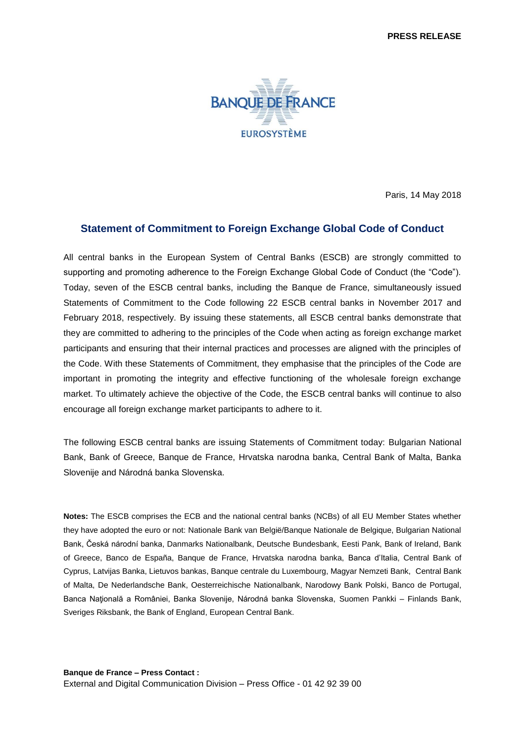

Paris, 14 May 2018

## **Statement of Commitment to Foreign Exchange Global Code of Conduct**

All central banks in the European System of Central Banks (ESCB) are strongly committed to supporting and promoting adherence to the Foreign Exchange Global Code of Conduct (the "Code"). Today, seven of the ESCB central banks, including the Banque de France, simultaneously issued Statements of Commitment to the Code following 22 ESCB central banks in November 2017 and February 2018, respectively. By issuing these statements, all ESCB central banks demonstrate that they are committed to adhering to the principles of the Code when acting as foreign exchange market participants and ensuring that their internal practices and processes are aligned with the principles of the Code. With these Statements of Commitment, they emphasise that the principles of the Code are important in promoting the integrity and effective functioning of the wholesale foreign exchange market. To ultimately achieve the objective of the Code, the ESCB central banks will continue to also encourage all foreign exchange market participants to adhere to it.

The following ESCB central banks are issuing Statements of Commitment today: Bulgarian National Bank, Bank of Greece, Banque de France, Hrvatska narodna banka, Central Bank of Malta, Banka Slovenije and Národná banka Slovenska.

**Notes:** The ESCB comprises the ECB and the national central banks (NCBs) of all EU Member States whether they have adopted the euro or not: Nationale Bank van België/Banque Nationale de Belgique, Bulgarian National Bank, Česká národní banka, Danmarks Nationalbank, Deutsche Bundesbank, Eesti Pank, Bank of Ireland, Bank of Greece, Banco de España, Banque de France, Hrvatska narodna banka, Banca d'Italia, Central Bank of Cyprus, Latvijas Banka, Lietuvos bankas, Banque centrale du Luxembourg, Magyar Nemzeti Bank, Central Bank of Malta, De Nederlandsche Bank, Oesterreichische Nationalbank, Narodowy Bank Polski, Banco de Portugal, Banca Națională a României, Banka Slovenije, Národná banka Slovenska, Suomen Pankki - Finlands Bank, Sveriges Riksbank, the Bank of England, European Central Bank.